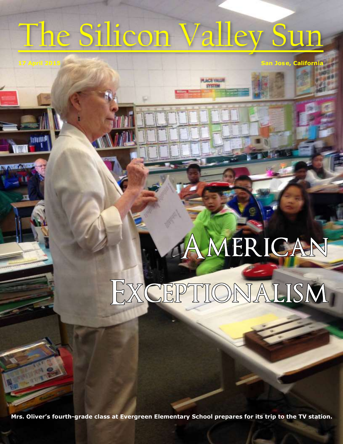# The Silicon Valley Sun

**17 April 2015 San Jose, California**

**PLACE VALUE SYSTEM** 

## AMERICAN

## EXCEPTIONALISM

**Mrs. Oliver's fourth-grade class at Evergreen Elementary School prepares for its trip to the TV station.**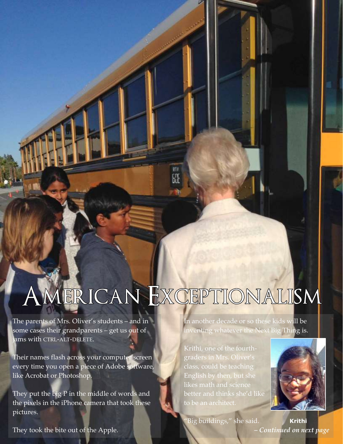#### MERICAN EXCEPTIONALISM

RTE

The parents of Mrs. Oliver's students – and in some cases their grandparents – get us out of jams with CTRL-ALT-DELETE.

Their names flash across your computer screen every time you open a piece of Adobe software, like Acrobat or Photoshop.

They put the big P in the middle of words and the pixels in the iPhone camera that took these pictures.

They took the bite out of the Apple.

In another decade or so these kids will be inventing whatever the Next Big Thing is.

Krithi, one of the fourthgraders in Mrs. Oliver's class, could be teaching English by then, but she likes math and science better and thinks she'd like to be an architect.



Big buildings," she said. **Krithi** *– Continued on next page*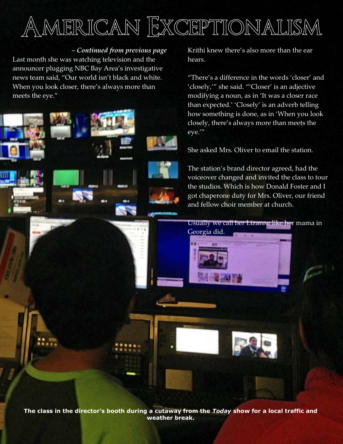#### AMERICAN EXCEPTIONALISM

*– Continued from previous page*

Last month she was watching television and the announcer plugging NBC Bay Area's investigative news team said, "Our world isn't black and white. When you look closer, there's always more than meets the eye."

Krithi knew there's also more than the ear hears.

"There's a difference in the words 'closer' and 'closely,'" she said. "'Closer' is an adjective modifying a noun, as in 'It was a closer race than expected.' 'Closely' is an adverb telling how something is done, as in 'When you look closely, there's always more than meets the eye.'"

She asked Mrs. Oliver to email the station.

The station's brand director agreed, had the voiceover changed and invited the class to tour the studios. Which is how Donald Foster and I got chaperone duty for Mrs. Oliver, our friend and fellow choir member at church.

Usually we call her Lizanne like her mama in Georgia did.

*– Continued on next page*

**The class in the director's booth during a cutaway from the** *Today* **show for a local traffic and weather break.**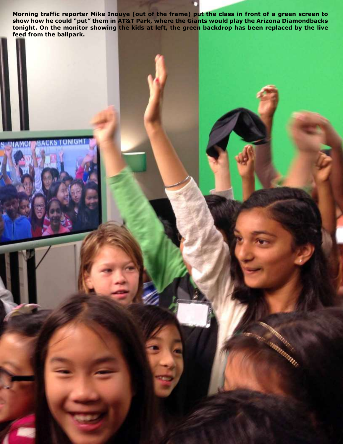**Morning traffic reporter Mike Inouye (out of the frame) put the class in front of a green screen to show how he could "put" them in AT&T Park, where the Giants would play the Arizona Diamondbacks tonight. On the monitor showing the kids at left, the green backdrop has been replaced by the live feed from the ballpark.**

**DIAMOR**